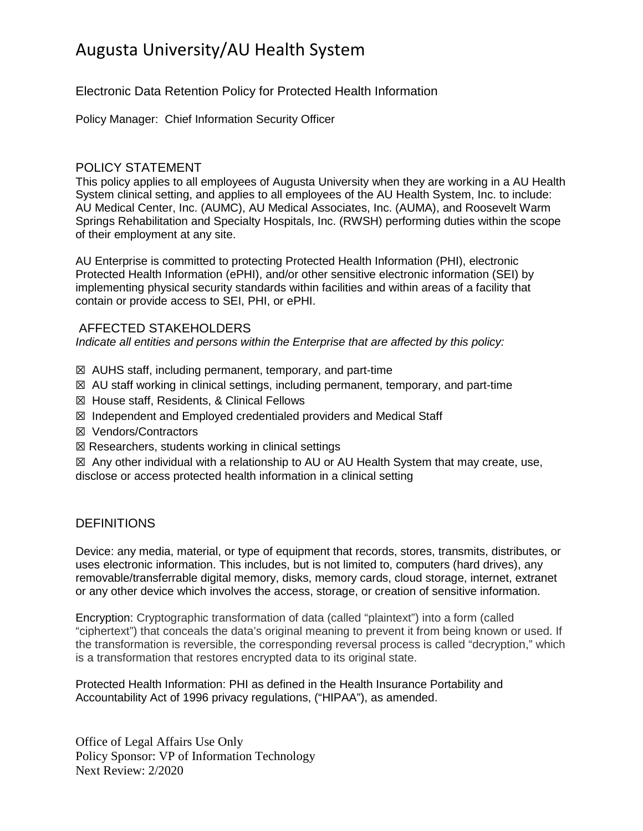# Augusta University/AU Health System

Electronic Data Retention Policy for Protected Health Information

Policy Manager: Chief Information Security Officer

#### POLICY STATEMENT

This policy applies to all employees of Augusta University when they are working in a AU Health System clinical setting, and applies to all employees of the AU Health System, Inc. to include: AU Medical Center, Inc. (AUMC), AU Medical Associates, Inc. (AUMA), and Roosevelt Warm Springs Rehabilitation and Specialty Hospitals, Inc. (RWSH) performing duties within the scope of their employment at any site.

AU Enterprise is committed to protecting Protected Health Information (PHI), electronic Protected Health Information (ePHI), and/or other sensitive electronic information (SEI) by implementing physical security standards within facilities and within areas of a facility that contain or provide access to SEI, PHI, or ePHI.

#### AFFECTED STAKEHOLDERS

*Indicate all entities and persons within the Enterprise that are affected by this policy:*

- ☒ AUHS staff, including permanent, temporary, and part-time
- $\boxtimes$  AU staff working in clinical settings, including permanent, temporary, and part-time
- ☒ House staff, Residents, & Clinical Fellows
- ☒ Independent and Employed credentialed providers and Medical Staff
- ☒ Vendors/Contractors
- $\boxtimes$  Researchers, students working in clinical settings

 $\boxtimes$  Any other individual with a relationship to AU or AU Health System that may create, use, disclose or access protected health information in a clinical setting

#### **DEFINITIONS**

Device: any media, material, or type of equipment that records, stores, transmits, distributes, or uses electronic information. This includes, but is not limited to, computers (hard drives), any removable/transferrable digital memory, disks, memory cards, cloud storage, internet, extranet or any other device which involves the access, storage, or creation of sensitive information.

Encryption: Cryptographic transformation of data (called "plaintext") into a form (called "ciphertext") that conceals the data's original meaning to prevent it from being known or used. If the transformation is reversible, the corresponding reversal process is called "decryption," which is a transformation that restores encrypted data to its original state.

Protected Health Information: PHI as defined in the Health Insurance Portability and Accountability Act of 1996 privacy regulations, ("HIPAA"), as amended.

Office of Legal Affairs Use Only Policy Sponsor: VP of Information Technology Next Review: 2/2020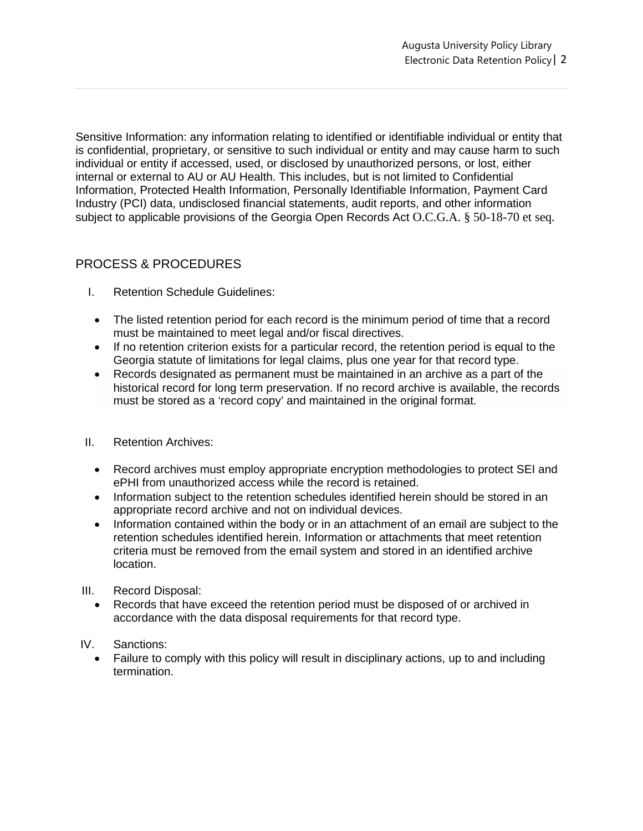Sensitive Information: any information relating to identified or identifiable individual or entity that is confidential, proprietary, or sensitive to such individual or entity and may cause harm to such individual or entity if accessed, used, or disclosed by unauthorized persons, or lost, either internal or external to AU or AU Health. This includes, but is not limited to Confidential Information, Protected Health Information, Personally Identifiable Information, Payment Card Industry (PCI) data, undisclosed financial statements, audit reports, and other information subject to applicable provisions of the Georgia Open Records Act O.C.G.A. § 50-18-70 et seq.

## PROCESS & PROCEDURES

- I. Retention Schedule Guidelines:
	- The listed retention period for each record is the minimum period of time that a record must be maintained to meet legal and/or fiscal directives.
	- If no retention criterion exists for a particular record, the retention period is equal to the Georgia statute of limitations for legal claims, plus one year for that record type.
	- Records designated as permanent must be maintained in an archive as a part of the historical record for long term preservation. If no record archive is available, the records must be stored as a 'record copy' and maintained in the original format.
- II. Retention Archives:
	- Record archives must employ appropriate encryption methodologies to protect SEI and ePHI from unauthorized access while the record is retained.
	- Information subject to the retention schedules identified herein should be stored in an appropriate record archive and not on individual devices.
	- Information contained within the body or in an attachment of an email are subject to the retention schedules identified herein. Information or attachments that meet retention criteria must be removed from the email system and stored in an identified archive location.
- III. Record Disposal:
	- Records that have exceed the retention period must be disposed of or archived in accordance with the data disposal requirements for that record type.
- IV. Sanctions:
	- Failure to comply with this policy will result in disciplinary actions, up to and including termination.